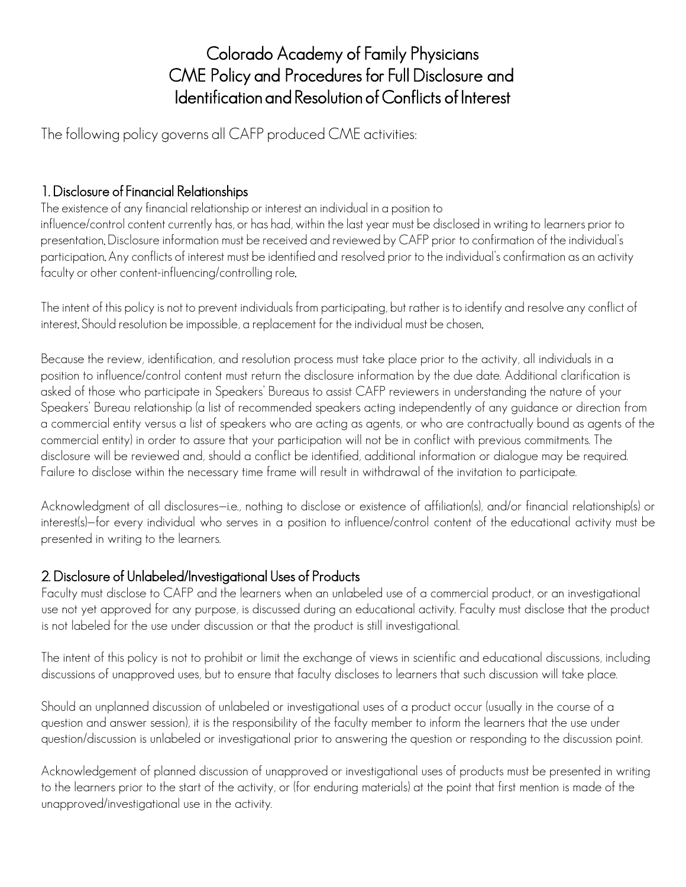## Colorado Academy of Family Physicians CME Policy and Procedures for Full Disclosure and Identification and Resolution of Conflicts of Interest

The following policy governs all CAFP produced CME activities:

#### 1. Disclosure of Financial Relationships

The existence of any financial relationship or interest an individual in a position to influence/control content currently has, or has had, within the last year must be disclosed in writing to learners prior to presentation. Disclosure information must be received and reviewed by CAFP prior to confirmation of the individual's participation. Any conflicts of interest must be identified and resolved prior to the individual's confirmation as an activity faculty or other content-influencing/controlling role.

The intent of this policy is not to prevent individuals from participating, but rather is to identify and resolve any conflict of interest. Should resolution be impossible, a replacement for the individual must be chosen.

Because the review, identification, and resolution process must take place prior to the activity, all individuals in a position to influence/control content must return the disclosure information by the due date. Additional clarification is asked of those who participate in Speakers' Bureaus to assist CAFP reviewers in understanding the nature of your Speakers' Bureau relationship (a list of recommended speakers acting independently of any guidance or direction from a commercial entity versus a list of speakers who are acting as agents, or who are contractually bound as agents of the commercial entity) in order to assure that your participation will not be in conflict with previous commitments. The disclosure will be reviewed and, should a conflict be identified, additional information or dialogue may be required. Failure to disclose within the necessary time frame will result in withdrawal of the invitation to participate.

Acknowledgment of all disclosures-i.e., nothing to disclose or existence of affiliation(s), and/or financial relationship(s) or interest(s)—for every individual who serves in a position to influence/control content of the educational activity must be presented in writing to the learners.

### 2. Disclosure of Unlabeled/Investigational Uses of Products

Faculty must disclose to CAFP and the learners when an unlabeled use of a commercial product, or an investigational use not yet approved for any purpose, is discussed during an educational activity. Faculty must disclose that the product is not labeled for the use under discussion or that the product is still investigational.

The intent of this policy is not to prohibit or limit the exchange of views in scientific and educational discussions, including discussions of unapproved uses, but to ensure that faculty discloses to learners that such discussion will take place.

Should an unplanned discussion of unlabeled or investigational uses of a product occur (usually in the course of a question and answer session), it is the responsibility of the faculty member to inform the learners that the use under question/discussion is unlabeled or investigational prior to answering the question or responding to the discussion point.

Acknowledgement of planned discussion of unapproved or investigational uses of products must be presented in writing to the learners prior to the start of the activity, or (for enduring materials) at the point that first mention is made of the unapproved/investigational use in the activity.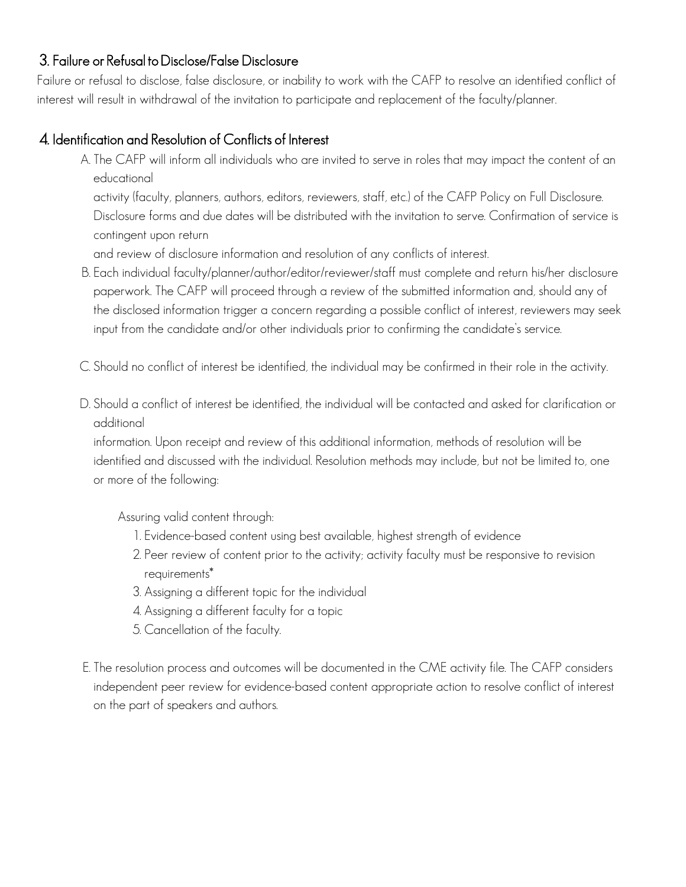#### 3. Failure or Refusal to Disclose/False Disclosure

Failure or refusal to disclose, false disclosure, or inability to work with the CAFP to resolve an identified conflict of interest will result in withdrawal of the invitation to participate and replacement of the faculty/planner.

#### 4. Identification and Resolution of Conflicts of Interest

A. The CAFP will inform all individuals who are invited to serve in roles that may impact the content of an educational

activity (faculty, planners, authors, editors, reviewers, staff, etc.) of the CAFP Policy on Full Disclosure. Disclosure forms and due dates will be distributed with the invitation to serve. Confirmation of service is contingent upon return

and review of disclosure information and resolution of any conflicts of interest.

- B. Each individual faculty/planner/author/editor/reviewer/staff must complete and return his/her disclosure paperwork. The CAFP will proceed through a review of the submitted information and, should any of the disclosed information trigger a concern regarding a possible conflict of interest, reviewers may seek input from the candidate and/or other individuals prior to confirming the candidate's service.
- C. Should no conflict of interest be identified, the individual may be confirmed in their role in the activity.
- D. Should a conflict of interest be identified, the individual will be contacted and asked for clarification or additional

information. Upon receipt and review of this additional information, methods of resolution will be identified and discussed with the individual. Resolution methods may include, but not be limited to, one or more of the following:

Assuring valid content through:

- 1. Evidence-based content using best available, highest strength of evidence
- 2. Peer review of content prior to the activity; activity faculty must be responsive to revision requirements\*
- 3. Assigning a different topic for the individual
- 4. Assigning a different faculty for a topic
- 5. Cancellation of the faculty.
- E. The resolution process and outcomes will be documented in the CME activity file. The CAFP considers independent peer review for evidence-based content appropriate action to resolve conflict of interest on the part of speakers and authors.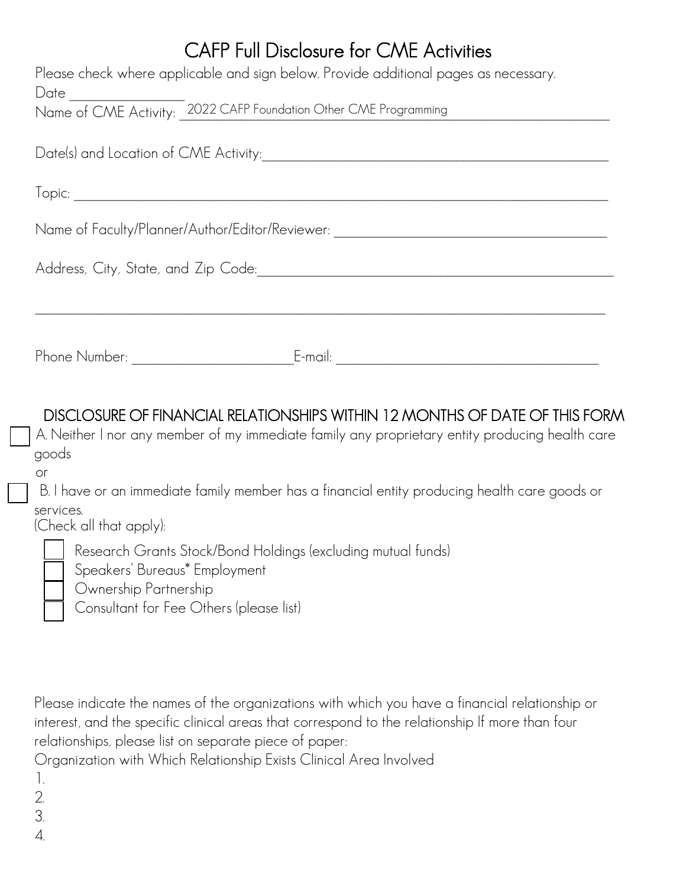# CAFP Full Disclosure for CME Activities

| Please check where applicable and sign below. Provide additional pages as necessary.<br>Name of CME Activity: 2022 CAFP Foundation Other CME Programming |
|----------------------------------------------------------------------------------------------------------------------------------------------------------|
|                                                                                                                                                          |
|                                                                                                                                                          |
| Name of Faculty/Planner/Author/Editor/Reviewer: ________________________________                                                                         |
|                                                                                                                                                          |
|                                                                                                                                                          |
| Phone Number: ________________                                                                                                                           |

DISCLOSURE OF FINANCIAL RELATIONSHIPS WITHIN 12 MONTHS OF DATE OF THIS FORM

A. Neither I nor any member of my immediate family any proprietary entity producing health care goods

or

B. I have or an immediate family member has a financial entity producing health care goods or services.

(Check all that apply):

Research Grants Stock/Bond Holdings (excluding mutual funds)

Speakers' Bureaus\* Employment

- Ownership Partnership
- Consultant for Fee Others (please list)

Please indicate the names of the organizations with which you have a financial relationship or interest, and the specific clinical areas that correspond to the relationship If more than four relationships, please list on separate piece of paper:

Organization with Which Relationship Exists Clinical Area Involved

- 1.
- 2.
- 3.
- 4.